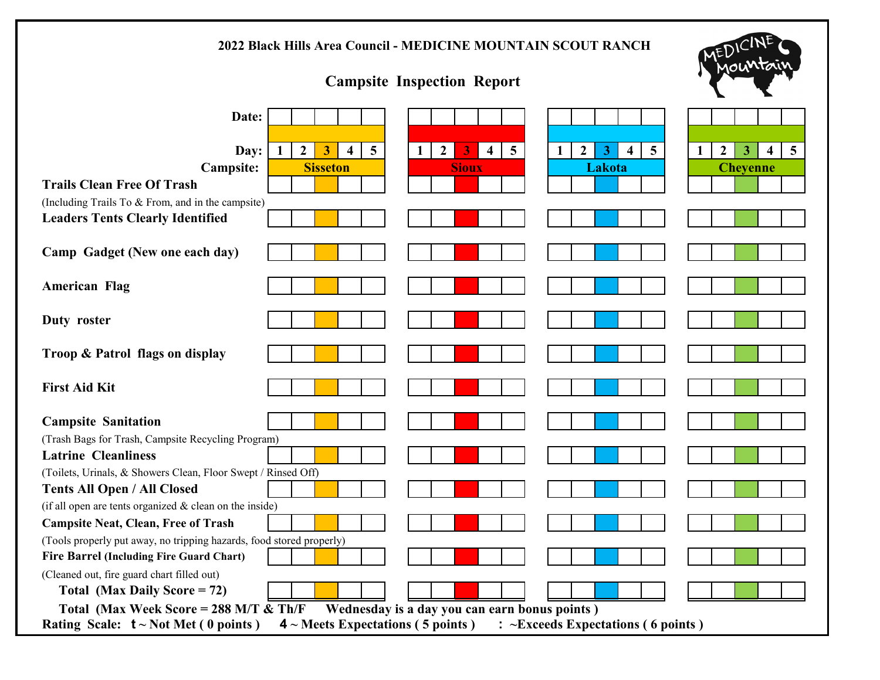| 2022 Black Hills Area Council - MEDICINE MOUNTAIN SCOUT RANCH                                                            |                                                                                    |                                                                |                                                                               |
|--------------------------------------------------------------------------------------------------------------------------|------------------------------------------------------------------------------------|----------------------------------------------------------------|-------------------------------------------------------------------------------|
| <b>Campsite Inspection Report</b>                                                                                        |                                                                                    |                                                                | 10U                                                                           |
| Date:                                                                                                                    |                                                                                    |                                                                |                                                                               |
|                                                                                                                          |                                                                                    |                                                                |                                                                               |
| $5\overline{)}$<br>Day:<br>$\mathbf{1}$<br>$\mathbf{2}$<br>3<br>1<br>$\overline{\mathbf{4}}$                             | $\overline{5}$<br>$\boldsymbol{2}$<br>$\overline{\mathbf{4}}$<br>$\mathbf{2}$<br>3 | $\overline{5}$<br>3<br>$\mathbf{1}$<br>$\overline{\mathbf{4}}$ | 5 <sup>5</sup><br>$\mathbf{3}$<br>$\boldsymbol{2}$<br>$\overline{\mathbf{4}}$ |
| <b>Campsite:</b><br><b>Sisseton</b>                                                                                      | <b>Sioux</b>                                                                       | Lakota                                                         | <b>Cheyenne</b>                                                               |
| <b>Trails Clean Free Of Trash</b>                                                                                        |                                                                                    |                                                                |                                                                               |
| (Including Trails To & From, and in the campsite)                                                                        |                                                                                    |                                                                |                                                                               |
| <b>Leaders Tents Clearly Identified</b>                                                                                  |                                                                                    |                                                                |                                                                               |
| Camp Gadget (New one each day)                                                                                           |                                                                                    |                                                                |                                                                               |
| <b>American Flag</b>                                                                                                     |                                                                                    |                                                                |                                                                               |
| Duty roster                                                                                                              |                                                                                    |                                                                |                                                                               |
| Troop & Patrol flags on display                                                                                          |                                                                                    |                                                                |                                                                               |
| <b>First Aid Kit</b>                                                                                                     |                                                                                    |                                                                |                                                                               |
| <b>Campsite Sanitation</b>                                                                                               |                                                                                    |                                                                |                                                                               |
| (Trash Bags for Trash, Campsite Recycling Program)                                                                       |                                                                                    |                                                                |                                                                               |
| <b>Latrine Cleanliness</b>                                                                                               |                                                                                    |                                                                |                                                                               |
| (Toilets, Urinals, & Showers Clean, Floor Swept / Rinsed Off)                                                            |                                                                                    |                                                                |                                                                               |
| <b>Tents All Open / All Closed</b>                                                                                       |                                                                                    |                                                                |                                                                               |
| (if all open are tents organized $&$ clean on the inside)                                                                |                                                                                    |                                                                |                                                                               |
| <b>Campsite Neat, Clean, Free of Trash</b>                                                                               |                                                                                    |                                                                |                                                                               |
| (Tools properly put away, no tripping hazards, food stored properly)                                                     |                                                                                    |                                                                |                                                                               |
| <b>Fire Barrel (Including Fire Guard Chart)</b><br>(Cleaned out, fire guard chart filled out)                            |                                                                                    |                                                                |                                                                               |
| Total (Max Daily Score = 72)                                                                                             |                                                                                    |                                                                |                                                                               |
| Total (Max Week Score = $288$ M/T & Th/F                                                                                 | Wednesday is a day you can earn bonus points)                                      |                                                                |                                                                               |
| : ~Exceeds Expectations (6 points)<br>Rating Scale: $t \sim Not Met(0 points)$<br>$4 \sim$ Meets Expectations (5 points) |                                                                                    |                                                                |                                                                               |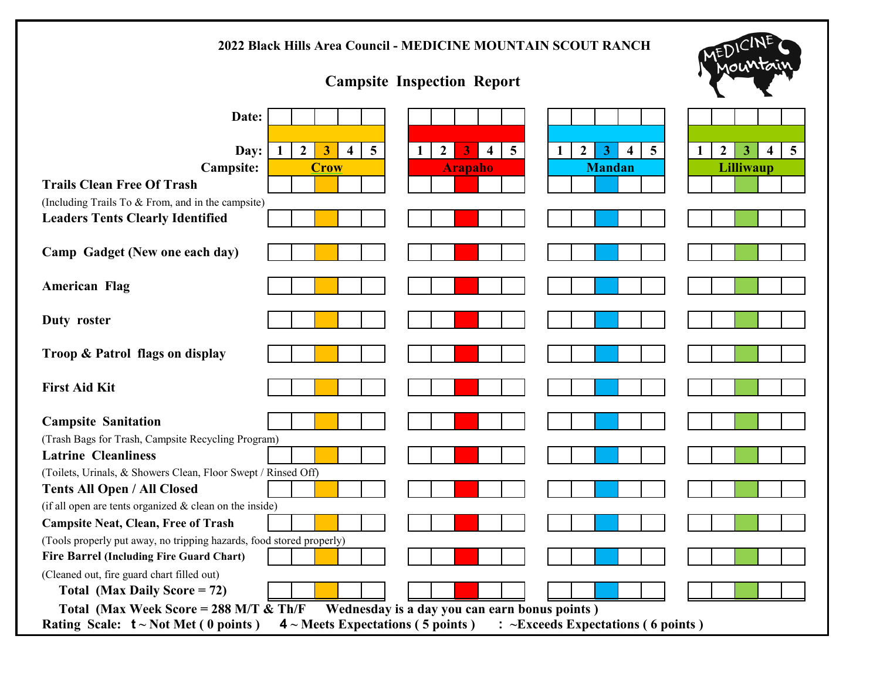| 2022 Black Hills Area Council - MEDICINE MOUNTAIN SCOUT RANCH                                                                                                                                                         |                                                                                |  |  |
|-----------------------------------------------------------------------------------------------------------------------------------------------------------------------------------------------------------------------|--------------------------------------------------------------------------------|--|--|
| <b>Campsite Inspection Report</b>                                                                                                                                                                                     |                                                                                |  |  |
| Date:                                                                                                                                                                                                                 |                                                                                |  |  |
|                                                                                                                                                                                                                       |                                                                                |  |  |
| $\overline{5}$<br>$\overline{5}$<br>$\overline{5}$<br>Day:<br>1<br>$\boldsymbol{2}$<br>3<br>1<br>$\overline{\mathbf{4}}$<br>$\overline{2}$<br>3<br>$\overline{\mathbf{4}}$<br>2<br>3<br>-1<br>$\overline{\mathbf{4}}$ | $\overline{5}$<br>$\mathbf{2}$<br>3<br>$\overline{\mathbf{4}}$<br>$\mathbf{1}$ |  |  |
| <b>Campsite:</b><br><b>Crow</b><br><b>Mandan</b><br><b>Arapaho</b>                                                                                                                                                    | <b>Lilliwaup</b>                                                               |  |  |
| <b>Trails Clean Free Of Trash</b>                                                                                                                                                                                     |                                                                                |  |  |
| (Including Trails To & From, and in the campsite)                                                                                                                                                                     |                                                                                |  |  |
| <b>Leaders Tents Clearly Identified</b>                                                                                                                                                                               |                                                                                |  |  |
| Camp Gadget (New one each day)                                                                                                                                                                                        |                                                                                |  |  |
| <b>American Flag</b>                                                                                                                                                                                                  |                                                                                |  |  |
| Duty roster                                                                                                                                                                                                           |                                                                                |  |  |
| Troop & Patrol flags on display                                                                                                                                                                                       |                                                                                |  |  |
| <b>First Aid Kit</b>                                                                                                                                                                                                  |                                                                                |  |  |
| <b>Campsite Sanitation</b>                                                                                                                                                                                            |                                                                                |  |  |
| (Trash Bags for Trash, Campsite Recycling Program)                                                                                                                                                                    |                                                                                |  |  |
| <b>Latrine Cleanliness</b>                                                                                                                                                                                            |                                                                                |  |  |
| (Toilets, Urinals, & Showers Clean, Floor Swept / Rinsed Off)                                                                                                                                                         |                                                                                |  |  |
| <b>Tents All Open / All Closed</b>                                                                                                                                                                                    |                                                                                |  |  |
| (if all open are tents organized $&$ clean on the inside)                                                                                                                                                             |                                                                                |  |  |
| <b>Campsite Neat, Clean, Free of Trash</b>                                                                                                                                                                            |                                                                                |  |  |
| (Tools properly put away, no tripping hazards, food stored properly)                                                                                                                                                  |                                                                                |  |  |
| <b>Fire Barrel (Including Fire Guard Chart)</b><br>(Cleaned out, fire guard chart filled out)                                                                                                                         |                                                                                |  |  |
| Total (Max Daily Score = $72$ )                                                                                                                                                                                       |                                                                                |  |  |
| Total (Max Week Score = $288$ M/T & Th/F<br>Wednesday is a day you can earn bonus points)                                                                                                                             |                                                                                |  |  |
| : ~Exceeds Expectations (6 points)<br>Rating Scale: $t \sim Not Met(0 points)$<br>$4 \sim$ Meets Expectations (5 points)                                                                                              |                                                                                |  |  |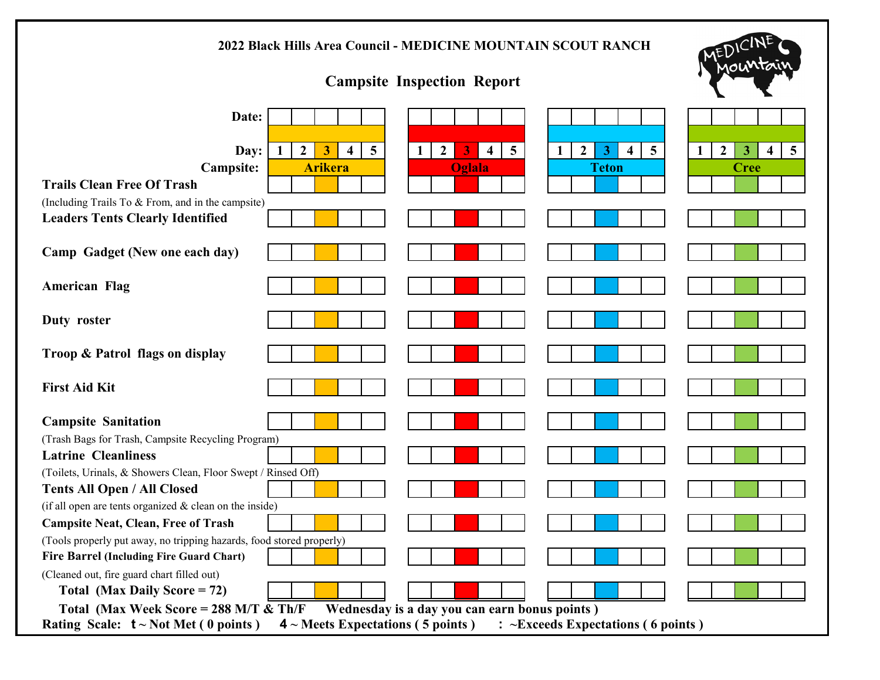| 2022 Black Hills Area Council - MEDICINE MOUNTAIN SCOUT RANCH                                                                                                                                         |                                                                                |  |  |
|-------------------------------------------------------------------------------------------------------------------------------------------------------------------------------------------------------|--------------------------------------------------------------------------------|--|--|
| <b>Campsite Inspection Report</b>                                                                                                                                                                     |                                                                                |  |  |
| Date:                                                                                                                                                                                                 |                                                                                |  |  |
|                                                                                                                                                                                                       |                                                                                |  |  |
| $5\overline{)}$<br>$\overline{5}$<br>$\overline{5}$<br>Day:<br>1<br>$\boldsymbol{2}$<br>3<br>1<br>$\overline{4}$<br>$\mathbf{2}$<br>3<br>$\overline{\mathbf{4}}$<br>2<br>3<br>$\overline{\mathbf{4}}$ | $\overline{5}$<br>$\mathbf{2}$<br>3<br>$\mathbf{1}$<br>$\overline{\mathbf{4}}$ |  |  |
| <b>Campsite:</b><br><b>Arikera</b><br><b>Oglala</b><br><b>Teton</b>                                                                                                                                   | <b>Cree</b>                                                                    |  |  |
| <b>Trails Clean Free Of Trash</b>                                                                                                                                                                     |                                                                                |  |  |
| (Including Trails To & From, and in the campsite)<br><b>Leaders Tents Clearly Identified</b>                                                                                                          |                                                                                |  |  |
|                                                                                                                                                                                                       |                                                                                |  |  |
| Camp Gadget (New one each day)                                                                                                                                                                        |                                                                                |  |  |
| <b>American Flag</b>                                                                                                                                                                                  |                                                                                |  |  |
| Duty roster                                                                                                                                                                                           |                                                                                |  |  |
| Troop & Patrol flags on display                                                                                                                                                                       |                                                                                |  |  |
| <b>First Aid Kit</b>                                                                                                                                                                                  |                                                                                |  |  |
| <b>Campsite Sanitation</b>                                                                                                                                                                            |                                                                                |  |  |
| (Trash Bags for Trash, Campsite Recycling Program)                                                                                                                                                    |                                                                                |  |  |
| <b>Latrine Cleanliness</b>                                                                                                                                                                            |                                                                                |  |  |
| (Toilets, Urinals, & Showers Clean, Floor Swept / Rinsed Off)                                                                                                                                         |                                                                                |  |  |
| <b>Tents All Open / All Closed</b>                                                                                                                                                                    |                                                                                |  |  |
| (if all open are tents organized $&$ clean on the inside)                                                                                                                                             |                                                                                |  |  |
| <b>Campsite Neat, Clean, Free of Trash</b>                                                                                                                                                            |                                                                                |  |  |
| (Tools properly put away, no tripping hazards, food stored properly)<br><b>Fire Barrel (Including Fire Guard Chart)</b>                                                                               |                                                                                |  |  |
| (Cleaned out, fire guard chart filled out)                                                                                                                                                            |                                                                                |  |  |
| Total (Max Daily Score = $72$ )                                                                                                                                                                       |                                                                                |  |  |
| Total (Max Week Score = $288$ M/T & Th/F<br>Wednesday is a day you can earn bonus points)                                                                                                             |                                                                                |  |  |
| : ~Exceeds Expectations (6 points)<br>Rating Scale: $t \sim Not Met(0 points)$<br>$4 \sim$ Meets Expectations (5 points)                                                                              |                                                                                |  |  |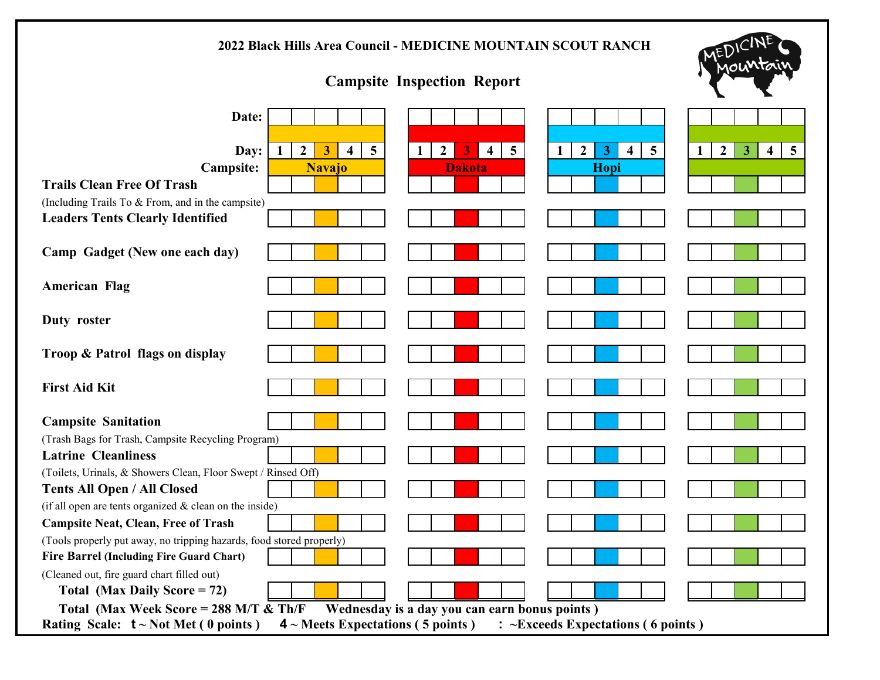| 2022 Black Hills Area Council - MEDICINE MOUNTAIN SCOUT RANCH                                                                                                                                                                |                                                                                  |  |  |
|------------------------------------------------------------------------------------------------------------------------------------------------------------------------------------------------------------------------------|----------------------------------------------------------------------------------|--|--|
| <b>Campsite Inspection Report</b>                                                                                                                                                                                            |                                                                                  |  |  |
| Date:                                                                                                                                                                                                                        |                                                                                  |  |  |
|                                                                                                                                                                                                                              |                                                                                  |  |  |
| $\overline{5}$<br>$\overline{5}$<br>$\overline{5}$<br>$\overline{2}$<br>$\mathbf{3}$<br>Day:<br>$\boldsymbol{2}$<br>3<br>1<br>$\overline{2}$<br>$\overline{\mathbf{4}}$<br>$\mathbf{1}$<br>4<br>1<br>$\overline{\mathbf{4}}$ | $\overline{5}$<br>$\mathbf{2}$<br>$\mathbf{3}$<br>$\overline{4}$<br>$\mathbf{1}$ |  |  |
| <b>Campsite:</b><br><b>Navajo</b><br><b>Dakota</b><br>Hopi                                                                                                                                                                   |                                                                                  |  |  |
| <b>Trails Clean Free Of Trash</b>                                                                                                                                                                                            |                                                                                  |  |  |
| (Including Trails To & From, and in the campsite)<br><b>Leaders Tents Clearly Identified</b>                                                                                                                                 |                                                                                  |  |  |
|                                                                                                                                                                                                                              |                                                                                  |  |  |
| Camp Gadget (New one each day)                                                                                                                                                                                               |                                                                                  |  |  |
| <b>American Flag</b>                                                                                                                                                                                                         |                                                                                  |  |  |
| Duty roster                                                                                                                                                                                                                  |                                                                                  |  |  |
| Troop & Patrol flags on display                                                                                                                                                                                              |                                                                                  |  |  |
| <b>First Aid Kit</b>                                                                                                                                                                                                         |                                                                                  |  |  |
| <b>Campsite Sanitation</b>                                                                                                                                                                                                   |                                                                                  |  |  |
| (Trash Bags for Trash, Campsite Recycling Program)                                                                                                                                                                           |                                                                                  |  |  |
| <b>Latrine Cleanliness</b>                                                                                                                                                                                                   |                                                                                  |  |  |
| (Toilets, Urinals, & Showers Clean, Floor Swept / Rinsed Off)                                                                                                                                                                |                                                                                  |  |  |
| <b>Tents All Open / All Closed</b>                                                                                                                                                                                           |                                                                                  |  |  |
| (if all open are tents organized $&$ clean on the inside)                                                                                                                                                                    |                                                                                  |  |  |
| <b>Campsite Neat, Clean, Free of Trash</b><br>(Tools properly put away, no tripping hazards, food stored properly)                                                                                                           |                                                                                  |  |  |
| <b>Fire Barrel (Including Fire Guard Chart)</b>                                                                                                                                                                              |                                                                                  |  |  |
| (Cleaned out, fire guard chart filled out)                                                                                                                                                                                   |                                                                                  |  |  |
| Total (Max Daily Score = 72)                                                                                                                                                                                                 |                                                                                  |  |  |
| Total (Max Week Score = $288$ M/T & Th/F<br>Wednesday is a day you can earn bonus points)                                                                                                                                    |                                                                                  |  |  |
| : ~Exceeds Expectations (6 points)<br>Rating Scale: $t \sim Not Met(0 points)$<br>$4 \sim$ Meets Expectations (5 points)                                                                                                     |                                                                                  |  |  |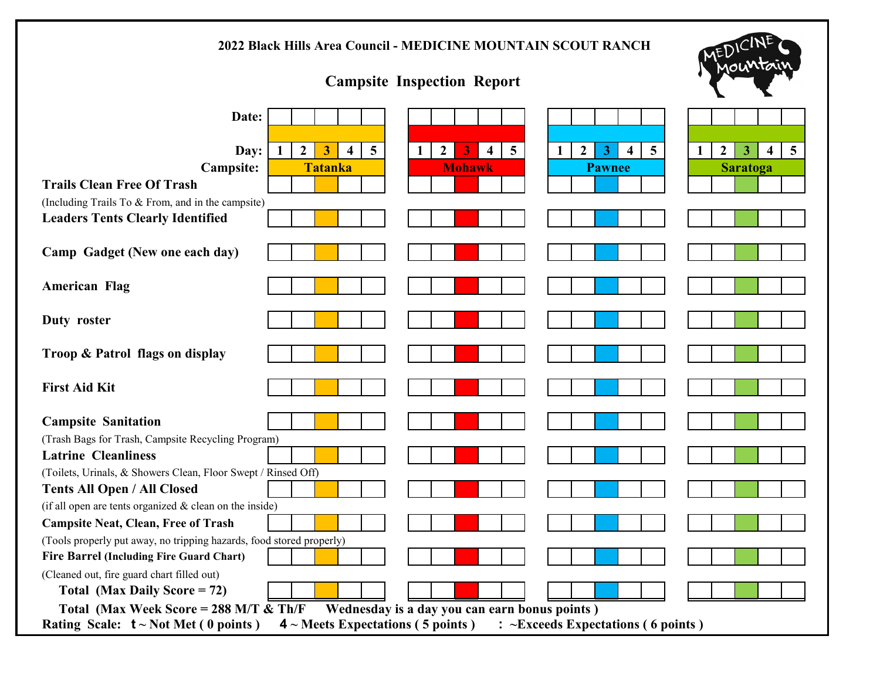| 2022 Black Hills Area Council - MEDICINE MOUNTAIN SCOUT RANCH                                                            |                                                                |                                                                |                                                                                    |
|--------------------------------------------------------------------------------------------------------------------------|----------------------------------------------------------------|----------------------------------------------------------------|------------------------------------------------------------------------------------|
| <b>Campsite Inspection Report</b>                                                                                        |                                                                |                                                                | 10U                                                                                |
| Date:                                                                                                                    |                                                                |                                                                |                                                                                    |
|                                                                                                                          |                                                                |                                                                |                                                                                    |
| $5\overline{)}$<br>Day:<br>$\mathbf{1}$<br>$\mathbf{2}$<br>3<br>1<br>$\overline{\mathbf{4}}$                             | $\overline{5}$<br>$\mathbf{2}$<br>3<br>$\overline{\mathbf{4}}$ | $\overline{5}$<br>$\mathbf{2}$<br>3<br>$\overline{\mathbf{4}}$ | 5 <sup>5</sup><br>$\boldsymbol{2}$<br>3<br>$\mathbf{1}$<br>$\overline{\mathbf{4}}$ |
| <b>Campsite:</b><br><b>Tatanka</b><br><b>Trails Clean Free Of Trash</b>                                                  | <b>Mohawk</b>                                                  | <b>Pawnee</b>                                                  | <b>Saratoga</b>                                                                    |
| (Including Trails To & From, and in the campsite)                                                                        |                                                                |                                                                |                                                                                    |
| <b>Leaders Tents Clearly Identified</b>                                                                                  |                                                                |                                                                |                                                                                    |
|                                                                                                                          |                                                                |                                                                |                                                                                    |
| Camp Gadget (New one each day)                                                                                           |                                                                |                                                                |                                                                                    |
| <b>American Flag</b>                                                                                                     |                                                                |                                                                |                                                                                    |
| Duty roster                                                                                                              |                                                                |                                                                |                                                                                    |
| Troop & Patrol flags on display                                                                                          |                                                                |                                                                |                                                                                    |
| <b>First Aid Kit</b>                                                                                                     |                                                                |                                                                |                                                                                    |
| <b>Campsite Sanitation</b>                                                                                               |                                                                |                                                                |                                                                                    |
| (Trash Bags for Trash, Campsite Recycling Program)                                                                       |                                                                |                                                                |                                                                                    |
| <b>Latrine Cleanliness</b>                                                                                               |                                                                |                                                                |                                                                                    |
| (Toilets, Urinals, & Showers Clean, Floor Swept / Rinsed Off)                                                            |                                                                |                                                                |                                                                                    |
| <b>Tents All Open / All Closed</b>                                                                                       |                                                                |                                                                |                                                                                    |
| (if all open are tents organized $&$ clean on the inside)                                                                |                                                                |                                                                |                                                                                    |
| <b>Campsite Neat, Clean, Free of Trash</b><br>(Tools properly put away, no tripping hazards, food stored properly)       |                                                                |                                                                |                                                                                    |
| <b>Fire Barrel (Including Fire Guard Chart)</b>                                                                          |                                                                |                                                                |                                                                                    |
| (Cleaned out, fire guard chart filled out)                                                                               |                                                                |                                                                |                                                                                    |
| Total (Max Daily Score = 72)                                                                                             |                                                                |                                                                |                                                                                    |
| Total (Max Week Score = $288$ M/T & Th/F<br>Wednesday is a day you can earn bonus points)                                |                                                                |                                                                |                                                                                    |
| : ~Exceeds Expectations (6 points)<br>Rating Scale: $t \sim Not Met(0 points)$<br>$4 \sim$ Meets Expectations (5 points) |                                                                |                                                                |                                                                                    |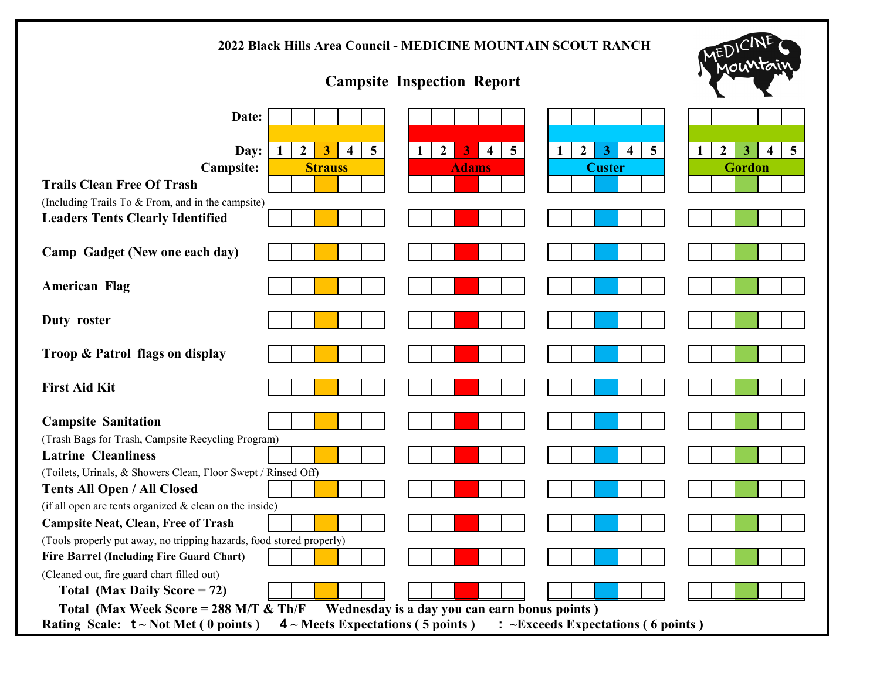| 2022 Black Hills Area Council - MEDICINE MOUNTAIN SCOUT RANCH                                                                                                                                                                             |                                                                              |  |  |
|-------------------------------------------------------------------------------------------------------------------------------------------------------------------------------------------------------------------------------------------|------------------------------------------------------------------------------|--|--|
| <b>Campsite Inspection Report</b>                                                                                                                                                                                                         | 10U                                                                          |  |  |
| Date:                                                                                                                                                                                                                                     |                                                                              |  |  |
|                                                                                                                                                                                                                                           |                                                                              |  |  |
| $\overline{5}$<br>$\overline{5}$<br>$\overline{5}$<br>Day:<br>$\mathbf{1}$<br>$\boldsymbol{2}$<br>3<br>$\overline{\mathbf{4}}$<br>$\overline{4}$<br>$\overline{2}$<br>3<br>1<br>2<br>3.<br>1<br>$\overline{\mathbf{4}}$<br><b>Strauss</b> | $5\overline{)}$<br>$\mathbf{2}$<br>3<br>$\overline{4}$<br>1<br><b>Gordon</b> |  |  |
| <b>Campsite:</b><br><b>Custer</b><br><b>Adams</b><br><b>Trails Clean Free Of Trash</b>                                                                                                                                                    |                                                                              |  |  |
| (Including Trails To & From, and in the campsite)                                                                                                                                                                                         |                                                                              |  |  |
| <b>Leaders Tents Clearly Identified</b>                                                                                                                                                                                                   |                                                                              |  |  |
| Camp Gadget (New one each day)                                                                                                                                                                                                            |                                                                              |  |  |
| <b>American Flag</b>                                                                                                                                                                                                                      |                                                                              |  |  |
| Duty roster                                                                                                                                                                                                                               |                                                                              |  |  |
| Troop & Patrol flags on display                                                                                                                                                                                                           |                                                                              |  |  |
| <b>First Aid Kit</b>                                                                                                                                                                                                                      |                                                                              |  |  |
| <b>Campsite Sanitation</b>                                                                                                                                                                                                                |                                                                              |  |  |
| (Trash Bags for Trash, Campsite Recycling Program)                                                                                                                                                                                        |                                                                              |  |  |
| <b>Latrine Cleanliness</b>                                                                                                                                                                                                                |                                                                              |  |  |
| (Toilets, Urinals, & Showers Clean, Floor Swept / Rinsed Off)                                                                                                                                                                             |                                                                              |  |  |
| <b>Tents All Open / All Closed</b><br>(if all open are tents organized & clean on the inside)                                                                                                                                             |                                                                              |  |  |
| <b>Campsite Neat, Clean, Free of Trash</b>                                                                                                                                                                                                |                                                                              |  |  |
| (Tools properly put away, no tripping hazards, food stored properly)                                                                                                                                                                      |                                                                              |  |  |
| Fire Barrel (Including Fire Guard Chart)                                                                                                                                                                                                  |                                                                              |  |  |
| (Cleaned out, fire guard chart filled out)                                                                                                                                                                                                |                                                                              |  |  |
| Total (Max Daily Score = $72$ )                                                                                                                                                                                                           |                                                                              |  |  |
| Total (Max Week Score = $288$ M/T & Th/F<br>Wednesday is a day you can earn bonus points)                                                                                                                                                 |                                                                              |  |  |
| : ~Exceeds Expectations (6 points)<br>Rating Scale: $t \sim Not Met(0 points)$<br>$4 \sim$ Meets Expectations (5 points)                                                                                                                  |                                                                              |  |  |